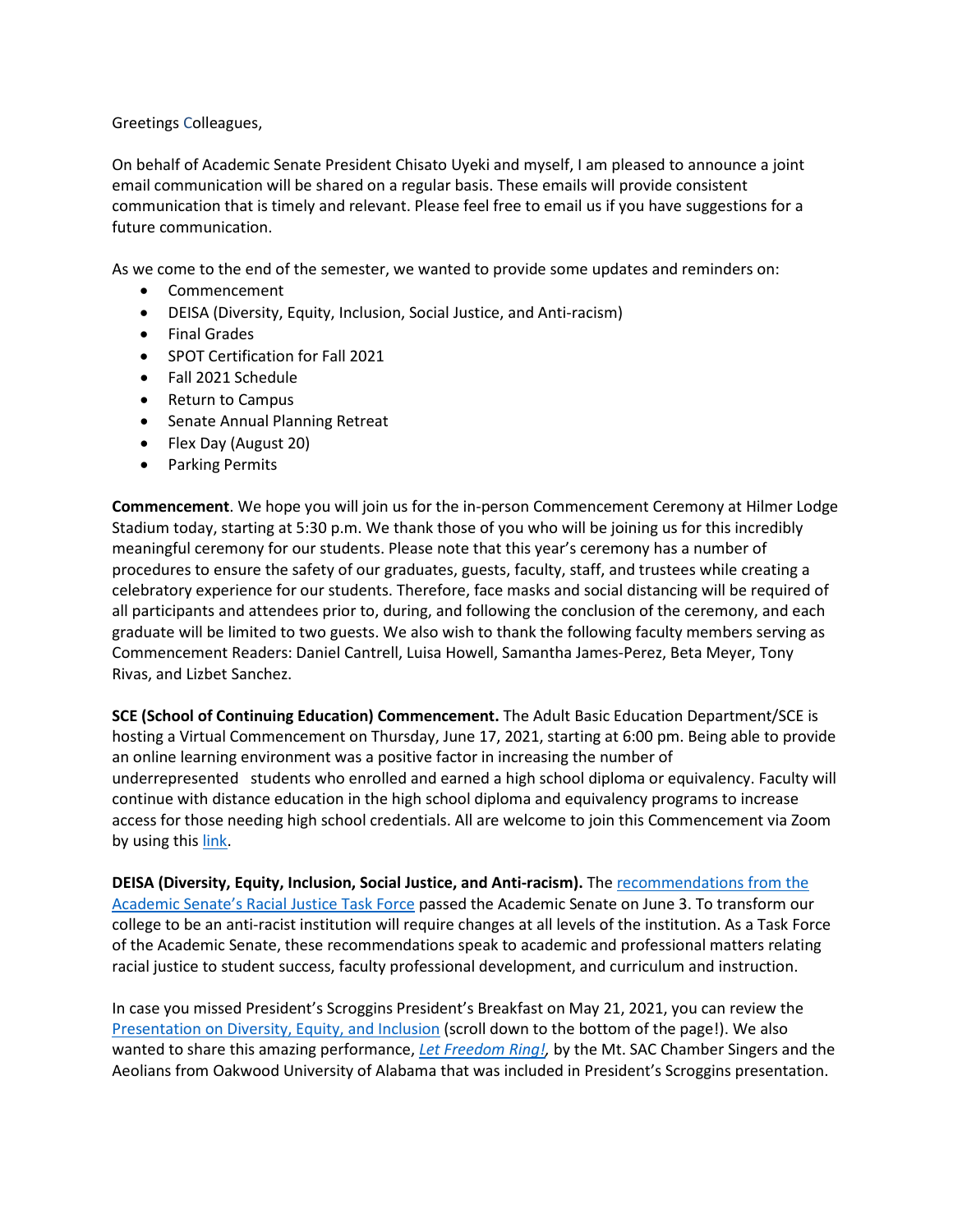Greetings Colleagues,

On behalf of Academic Senate President Chisato Uyeki and myself, I am pleased to announce a joint email communication will be shared on a regular basis. These emails will provide consistent communication that is timely and relevant. Please feel free to email us if you have suggestions for a future communication.

As we come to the end of the semester, we wanted to provide some updates and reminders on:

- Commencement
- DEISA (Diversity, Equity, Inclusion, Social Justice, and Anti-racism)
- Final Grades
- SPOT Certification for Fall 2021
- Fall 2021 Schedule
- Return to Campus
- Senate Annual Planning Retreat
- Flex Day (August 20)
- Parking Permits

 Stadium today, starting at 5:30 p.m. We thank those of you who will be joining us for this incredibly procedures to ensure the safety of our graduates, guests, faculty, staff, and trustees while creating a graduate will be limited to two guests. We also wish to thank the following faculty members serving as Commencement Readers: Daniel Cantrell, Luisa Howell, Samantha James-Perez, Beta Meyer, Tony **Commencement**. We hope you will join us for the in-person Commencement Ceremony at Hilmer Lodge meaningful ceremony for our students. Please note that this year's ceremony has a number of celebratory experience for our students. Therefore, face masks and social distancing will be required of all participants and attendees prior to, during, and following the conclusion of the ceremony, and each Rivas, and Lizbet Sanchez.

 underrepresented students who enrolled and earned a high school diploma or equivalency. Faculty will **SCE (School of Continuing Education) Commencement.** The Adult Basic Education Department/SCE is hosting a Virtual Commencement on Thursday, June 17, 2021, starting at 6:00 pm. Being able to provide an online learning environment was a positive factor in increasing the number of continue with distance education in the high school diploma and equivalency programs to increase access for those needing high school credentials. All are welcome to join this Commencement via Zoom by using this [link.](https://nam12.safelinks.protection.outlook.com/?url=https%3A%2F%2Fmtsac-edu.zoom.us%2Fj%2F9092745230&data=04%7C01%7Ckelly.fowler%40mtsac.edu%7C573eaa25c89e4056804308d92d062893%7Ccc4d4bf20a9e4240aedea7d1d688f935%7C0%7C0%7C637590326733839194%7CUnknown%7CTWFpbGZsb3d8eyJWIjoiMC4wLjAwMDAiLCJQIjoiV2luMzIiLCJBTiI6Ik1haWwiLCJXVCI6Mn0%3D%7C1000&sdata=rpHfc9OdTUdRPNp4vJhErUMDjly4huR9DF6Z97uEJFA%3D&reserved=0)

 college to be an anti-racist institution will require changes at all levels of the institution. As a Task Force **DEISA (Diversity, Equity, Inclusion, Social Justice, and Anti-racism).** The [recommendations from the](https://nam12.safelinks.protection.outlook.com/?url=https%3A%2F%2Fwww.mtsac.edu%2Fgovernance%2Facademicsenate%2Fresources%2Ftask_forces%2F2020-2021%2FRacialJusticeTaskForceRecommendationsSpring2021.pdf&data=04%7C01%7Ckelly.fowler%40mtsac.edu%7C573eaa25c89e4056804308d92d062893%7Ccc4d4bf20a9e4240aedea7d1d688f935%7C0%7C0%7C637590326733849145%7CUnknown%7CTWFpbGZsb3d8eyJWIjoiMC4wLjAwMDAiLCJQIjoiV2luMzIiLCJBTiI6Ik1haWwiLCJXVCI6Mn0%3D%7C1000&sdata=qSm8dHbDC8xYazFwezpUbckxEIpnBhTLNgY3JCYlYoM%3D&reserved=0)  [Academic Senate's Racial Justice Task Force](https://nam12.safelinks.protection.outlook.com/?url=https%3A%2F%2Fwww.mtsac.edu%2Fgovernance%2Facademicsenate%2Fresources%2Ftask_forces%2F2020-2021%2FRacialJusticeTaskForceRecommendationsSpring2021.pdf&data=04%7C01%7Ckelly.fowler%40mtsac.edu%7C573eaa25c89e4056804308d92d062893%7Ccc4d4bf20a9e4240aedea7d1d688f935%7C0%7C0%7C637590326733849145%7CUnknown%7CTWFpbGZsb3d8eyJWIjoiMC4wLjAwMDAiLCJQIjoiV2luMzIiLCJBTiI6Ik1haWwiLCJXVCI6Mn0%3D%7C1000&sdata=qSm8dHbDC8xYazFwezpUbckxEIpnBhTLNgY3JCYlYoM%3D&reserved=0) passed the Academic Senate on June 3. To transform our of the Academic Senate, these recommendations speak to academic and professional matters relating racial justice to student success, faculty professional development, and curriculum and instruction.

 In case you missed President's Scroggins President's Breakfast on May 21, 2021, you can review the [Presentation on Diversity, Equity, and Inclusion](https://nam12.safelinks.protection.outlook.com/?url=https%3A%2F%2Fwww.mtsac.edu%2Fpresident%2Fcabinet-notes%2F2020-21%2Findex.html&data=04%7C01%7Ckelly.fowler%40mtsac.edu%7C573eaa25c89e4056804308d92d062893%7Ccc4d4bf20a9e4240aedea7d1d688f935%7C0%7C0%7C637590326733849145%7CUnknown%7CTWFpbGZsb3d8eyJWIjoiMC4wLjAwMDAiLCJQIjoiV2luMzIiLCJBTiI6Ik1haWwiLCJXVCI6Mn0%3D%7C1000&sdata=gmqocla%2F9Kti%2FyLubmU5QntOsshg55mD3AghoQkJjqE%3D&reserved=0) (scroll down to the bottom of the page!). We also wanted to share this amazing performance, *[Let Freedom Ring!,](https://nam12.safelinks.protection.outlook.com/?url=https%3A%2F%2Fyoutu.be%2FWQmKMhLL3vE&data=04%7C01%7Ckelly.fowler%40mtsac.edu%7C573eaa25c89e4056804308d92d062893%7Ccc4d4bf20a9e4240aedea7d1d688f935%7C0%7C0%7C637590326733859107%7CUnknown%7CTWFpbGZsb3d8eyJWIjoiMC4wLjAwMDAiLCJQIjoiV2luMzIiLCJBTiI6Ik1haWwiLCJXVCI6Mn0%3D%7C1000&sdata=oX0OS9MvKwk%2Bvx2dI3UdKgqHiaNOwT2ykEm8NZbwfMc%3D&reserved=0)* by the Mt. SAC Chamber Singers and the Aeolians from Oakwood University of Alabama that was included in President's Scroggins presentation.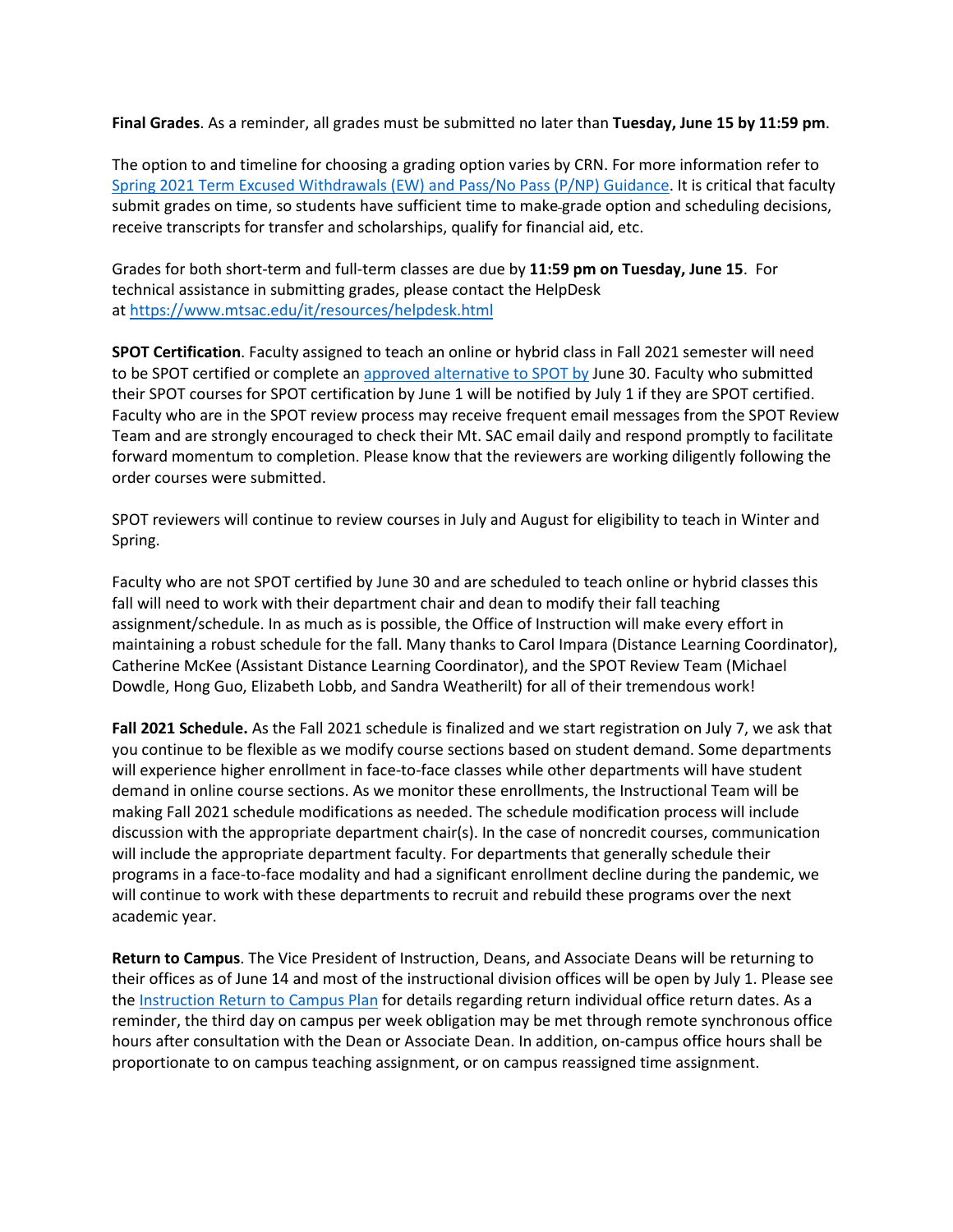**Final Grades**. As a reminder, all grades must be submitted no later than **Tuesday, June 15 by 11:59 pm**.

 submit grades on time, so students have sufficient time to make grade option and scheduling decisions, The option to and timeline for choosing a grading option varies by CRN. For more information refer to [Spring 2021 Term Excused Withdrawals \(EW\) and Pass/No Pass \(P/NP\) Guidance.](https://nam12.safelinks.protection.outlook.com/?url=https%3A%2F%2Fwww.mtsac.edu%2Fgovernance%2Facademicsenate%2Fcurrent_issues%2F2021%2FEW_P_NP_policy_Spring2021.pdf&data=04%7C01%7Ckelly.fowler%40mtsac.edu%7C573eaa25c89e4056804308d92d062893%7Ccc4d4bf20a9e4240aedea7d1d688f935%7C0%7C0%7C637590326733859107%7CUnknown%7CTWFpbGZsb3d8eyJWIjoiMC4wLjAwMDAiLCJQIjoiV2luMzIiLCJBTiI6Ik1haWwiLCJXVCI6Mn0%3D%7C1000&sdata=EOjgvcLTt6JIsXZrA7Zq4Lkb%2Bmlvz73OSNNT6E6mrpk%3D&reserved=0) It is critical that faculty receive transcripts for transfer and scholarships, qualify for financial aid, etc.

 Grades for both short-term and full-term classes are due by **11:59 pm on Tuesday, June 15**. For technical assistance in submitting grades, please contact the HelpDesk at [https://www.mtsac.edu/it/resources/helpdesk.html](https://nam12.safelinks.protection.outlook.com/?url=https%3A%2F%2Fwww.mtsac.edu%2Fit%2Fresources%2Fhelpdesk.html&data=04%7C01%7Ckelly.fowler%40mtsac.edu%7C573eaa25c89e4056804308d92d062893%7Ccc4d4bf20a9e4240aedea7d1d688f935%7C0%7C0%7C637590326733859107%7CUnknown%7CTWFpbGZsb3d8eyJWIjoiMC4wLjAwMDAiLCJQIjoiV2luMzIiLCJBTiI6Ik1haWwiLCJXVCI6Mn0%3D%7C1000&sdata=d%2Fog2DaZq6u2z4qrcrC32CZ2jncI8Lt%2Ftb2Ir%2FSs4gY%3D&reserved=0) 

to be SPOT certified or complete a[n approved alternative to SPOT by J](https://nam12.safelinks.protection.outlook.com/?url=https%3A%2F%2Fwww.mtsac.edu%2Fdistancelearning%2Fspot.html&data=04%7C01%7Ckelly.fowler%40mtsac.edu%7C573eaa25c89e4056804308d92d062893%7Ccc4d4bf20a9e4240aedea7d1d688f935%7C0%7C0%7C637590326733869061%7CUnknown%7CTWFpbGZsb3d8eyJWIjoiMC4wLjAwMDAiLCJQIjoiV2luMzIiLCJBTiI6Ik1haWwiLCJXVCI6Mn0%3D%7C1000&sdata=gHTi92SKyMQ6q0KDBTornGiVRPKHXRsl1EmUd6XIpRw%3D&reserved=0)une 30. Faculty who submitted Team and are strongly encouraged to check their Mt. SAC email daily and respond promptly to facilitate **SPOT Certification**. Faculty assigned to teach an online or hybrid class in Fall 2021 semester will need their SPOT courses for SPOT certification by June 1 will be notified by July 1 if they are SPOT certified. Faculty who are in the SPOT review process may receive frequent email messages from the SPOT Review forward momentum to completion. Please know that the reviewers are working diligently following the order courses were submitted.

 SPOT reviewers will continue to review courses in July and August for eligibility to teach in Winter and Spring.

 Faculty who are not SPOT certified by June 30 and are scheduled to teach online or hybrid classes this assignment/schedule. In as much as is possible, the Office of Instruction will make every effort in Catherine McKee (Assistant Distance Learning Coordinator), and the SPOT Review Team (Michael fall will need to work with their department chair and dean to modify their fall teaching maintaining a robust schedule for the fall. Many thanks to Carol Impara (Distance Learning Coordinator), Dowdle, Hong Guo, Elizabeth Lobb, and Sandra Weatherilt) for all of their tremendous work!

 **Fall 2021 Schedule.** As the Fall 2021 schedule is finalized and we start registration on July 7, we ask that discussion with the appropriate department chair(s). In the case of noncredit courses, communication programs in a face-to-face modality and had a significant enrollment decline during the pandemic, we will continue to work with these departments to recruit and rebuild these programs over the next you continue to be flexible as we modify course sections based on student demand. Some departments will experience higher enrollment in face-to-face classes while other departments will have student demand in online course sections. As we monitor these enrollments, the Instructional Team will be making Fall 2021 schedule modifications as needed. The schedule modification process will include will include the appropriate department faculty. For departments that generally schedule their academic year.

 **Return to Campus**. The Vice President of Instruction, Deans, and Associate Deans will be returning to their offices as of June 14 and most of the instructional division offices will be open by July 1. Please see reminder, the third day on campus per week obligation may be met through remote synchronous office hours after consultation with the Dean or Associate Dean. In addition, on-campus office hours shall be proportionate to on campus teaching assignment, or on campus reassigned time assignment. the [Instruction Return to Campus Plan](https://nam12.safelinks.protection.outlook.com/ap/b-59584e83/?url=https%3A%2F%2Fmtsac0-my.sharepoint.com%2F%3Ab%3A%2Fg%2Fpersonal%2Flmartinez_mtsac_edu%2FETSCkGRuOyZBohrcvvsulbEBfASEj-MBNDdnfUlKf9tkNA%3Fe%3Da5hn2s&data=04%7C01%7Ckelly.fowler%40mtsac.edu%7C573eaa25c89e4056804308d92d062893%7Ccc4d4bf20a9e4240aedea7d1d688f935%7C0%7C0%7C637590326733879019%7CUnknown%7CTWFpbGZsb3d8eyJWIjoiMC4wLjAwMDAiLCJQIjoiV2luMzIiLCJBTiI6Ik1haWwiLCJXVCI6Mn0%3D%7C1000&sdata=6gKKdpW50fC1gMpk5%2FK2HENfoIHGSwjyoDMrvtTHLi4%3D&reserved=0) for details regarding return individual office return dates. As a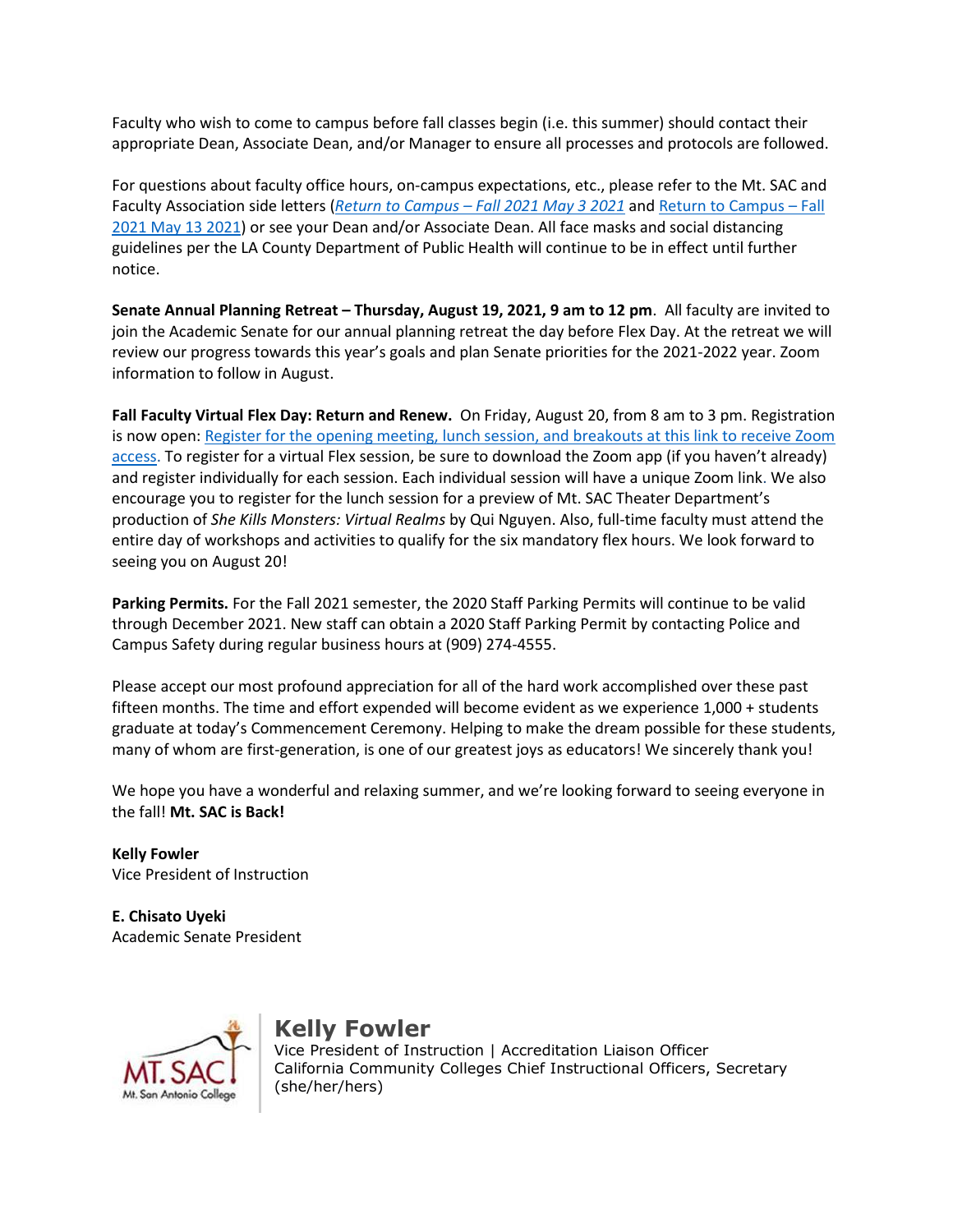Faculty who wish to come to campus before fall classes begin (i.e. this summer) should contact their appropriate Dean, Associate Dean, and/or Manager to ensure all processes and protocols are followed.

[2021 May 13 2021\)](https://nam12.safelinks.protection.outlook.com/?url=https%3A%2F%2Fwww.mtsac.edu%2Fhr%2Ffacultyassociationcontract%2FFacultyReturntoCampusFall2021-Signed5_13_21.pdf&data=04%7C01%7Ckelly.fowler%40mtsac.edu%7C573eaa25c89e4056804308d92d062893%7Ccc4d4bf20a9e4240aedea7d1d688f935%7C0%7C0%7C637590326733888974%7CUnknown%7CTWFpbGZsb3d8eyJWIjoiMC4wLjAwMDAiLCJQIjoiV2luMzIiLCJBTiI6Ik1haWwiLCJXVCI6Mn0%3D%7C1000&sdata=whUVtNSna3id5tqmwJ3H0FmPVqSlTye1OpsWelkc%2FvA%3D&reserved=0) or see your Dean and/or Associate Dean. All face masks and social distancing guidelines per the LA County Department of Public Health will continue to be in effect until further For questions about faculty office hours, on-campus expectations, etc., please refer to the Mt. SAC and Faculty Association side letters (*[Return to Campus – Fall 2021 May 3 2021](https://nam12.safelinks.protection.outlook.com/?url=https%3A%2F%2Fwww.mtsac.edu%2Fhr%2Ffacultyassociationcontract%2FFacultyReturntoCampusFall2021-Signed5_3_21.pdf&data=04%7C01%7Ckelly.fowler%40mtsac.edu%7C573eaa25c89e4056804308d92d062893%7Ccc4d4bf20a9e4240aedea7d1d688f935%7C0%7C0%7C637590326733879019%7CUnknown%7CTWFpbGZsb3d8eyJWIjoiMC4wLjAwMDAiLCJQIjoiV2luMzIiLCJBTiI6Ik1haWwiLCJXVCI6Mn0%3D%7C1000&sdata=pcjhMGGubbrxpwX3bbT4tJUsDT%2BwR5gBdDbYJk9hVBQ%3D&reserved=0)* and [Return to Campus – Fall](https://nam12.safelinks.protection.outlook.com/?url=https%3A%2F%2Fwww.mtsac.edu%2Fhr%2Ffacultyassociationcontract%2FFacultyReturntoCampusFall2021-Signed5_13_21.pdf&data=04%7C01%7Ckelly.fowler%40mtsac.edu%7C573eaa25c89e4056804308d92d062893%7Ccc4d4bf20a9e4240aedea7d1d688f935%7C0%7C0%7C637590326733888974%7CUnknown%7CTWFpbGZsb3d8eyJWIjoiMC4wLjAwMDAiLCJQIjoiV2luMzIiLCJBTiI6Ik1haWwiLCJXVCI6Mn0%3D%7C1000&sdata=whUVtNSna3id5tqmwJ3H0FmPVqSlTye1OpsWelkc%2FvA%3D&reserved=0)  notice.

 **Senate Annual Planning Retreat – Thursday, August 19, 2021, 9 am to 12 pm**. All faculty are invited to join the Academic Senate for our annual planning retreat the day before Flex Day. At the retreat we will review our progress towards this year's goals and plan Senate priorities for the 2021-2022 year. Zoom information to follow in August.

 **Fall Faculty Virtual Flex Day: Return and Renew.** On Friday, August 20, from 8 am to 3 pm. Registration encourage you to register for the lunch session for a preview of Mt. SAC Theater Department's  production of *She Kills Monsters: Virtual Realms* by Qui Nguyen. Also, full-time faculty must attend the seeing you on August 20! is now open[: Register for the opening meeting, lunch session, and breakouts at this link to receive Zoom](https://nam12.safelinks.protection.outlook.com/?url=https%3A%2F%2Fwww.mtsac.edu%2Fpod%2Fprograms%2Fflex-day%2Fflex-day-fall-2021.html&data=04%7C01%7Ckelly.fowler%40mtsac.edu%7C573eaa25c89e4056804308d92d062893%7Ccc4d4bf20a9e4240aedea7d1d688f935%7C0%7C0%7C637590326733888974%7CUnknown%7CTWFpbGZsb3d8eyJWIjoiMC4wLjAwMDAiLCJQIjoiV2luMzIiLCJBTiI6Ik1haWwiLCJXVCI6Mn0%3D%7C1000&sdata=U%2F9NZCiH0qSFOdaICySukcllDTNJqhawaw2HYA0uBP8%3D&reserved=0)  [access.](https://nam12.safelinks.protection.outlook.com/?url=https%3A%2F%2Fwww.mtsac.edu%2Fpod%2Fprograms%2Fflex-day%2Fflex-day-fall-2021.html&data=04%7C01%7Ckelly.fowler%40mtsac.edu%7C573eaa25c89e4056804308d92d062893%7Ccc4d4bf20a9e4240aedea7d1d688f935%7C0%7C0%7C637590326733888974%7CUnknown%7CTWFpbGZsb3d8eyJWIjoiMC4wLjAwMDAiLCJQIjoiV2luMzIiLCJBTiI6Ik1haWwiLCJXVCI6Mn0%3D%7C1000&sdata=U%2F9NZCiH0qSFOdaICySukcllDTNJqhawaw2HYA0uBP8%3D&reserved=0) To register for a virtual Flex session, be sure to download the Zoom app (if you haven't already) and register individually for each session. Each individual session will have a unique Zoom link. We also entire day of workshops and activities to qualify for the six mandatory flex hours. We look forward to

 **Parking Permits.** For the Fall 2021 semester, the 2020 Staff Parking Permits will continue to be valid Campus Safety during regular business hours at (909) 274-4555. through December 2021. New staff can obtain a 2020 Staff Parking Permit by contacting Police and

 fifteen months. The time and effort expended will become evident as we experience 1,000 + students many of whom are first-generation, is one of our greatest joys as educators! We sincerely thank you! Please accept our most profound appreciation for all of the hard work accomplished over these past graduate at today's Commencement Ceremony. Helping to make the dream possible for these students,

We hope you have a wonderful and relaxing summer, and we're looking forward to seeing everyone in the fall! **Mt. SAC is Back!** 

**Kelly Fowler**  Vice President of Instruction

**E. Chisato Uyeki**  Academic Senate President



## **Kelly Fowler**

 Vice President of Instruction | Accreditation Liaison Officer California Community Colleges Chief Instructional Officers, Secretary (she/her/hers)